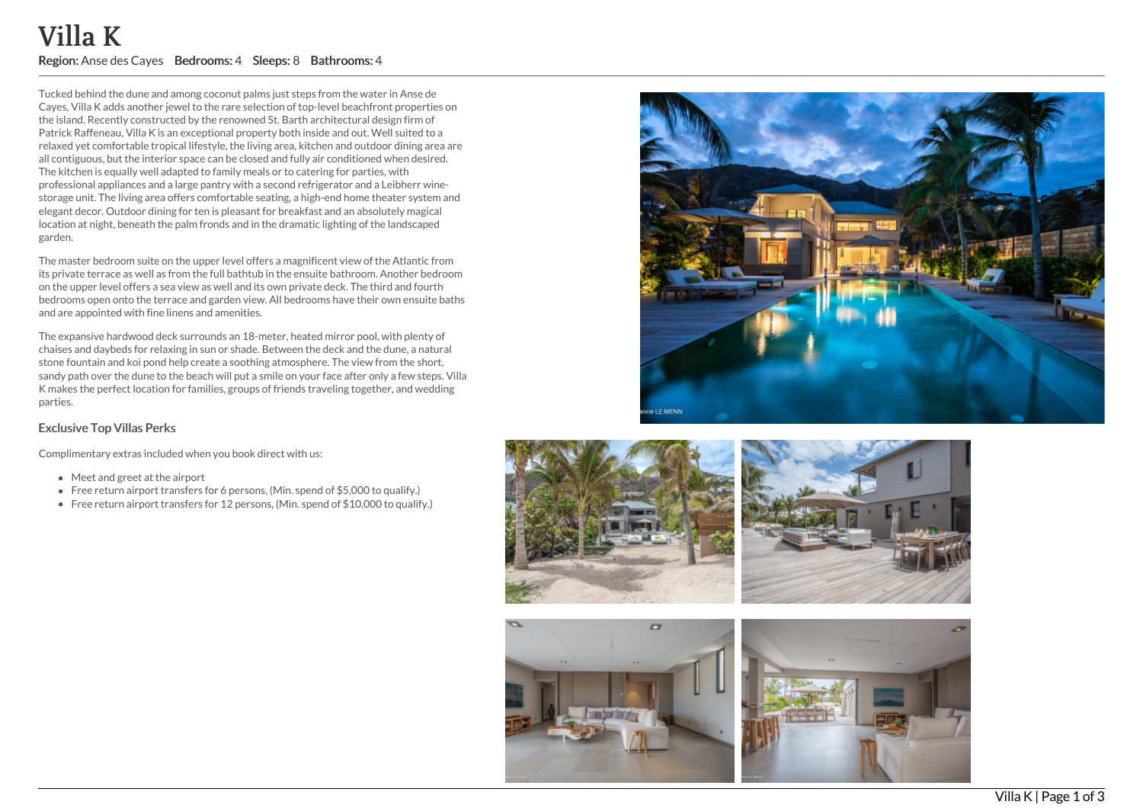Tucked behind the dune and among coconut palms just steps from the water in Anse de Cayes, Villa K adds another jewel to the rare selection of top-level beachfront properties on the island. Recently constructed by the renowned St. Barth architectural design firm of Patrick Raffeneau, Villa K is an exceptional property both inside and out. Well suited to a relaxed yet comfortable tropical lifestyle, the living area, kitchen and outdoor dining area are all contiguous, but the interior space can be closed and fully air conditioned when desired. The kitchen is equally well adapted to family meals or to catering for parties, with professional appliances and a large pantry with a second refrigerator and a Leibherr winestorage unit. The living area offers comfortable seating, a high-end home theater system and elegant decor. Outdoor dining for ten is pleasant for breakfast and an absolutely magical location at night, beneath the palm fronds and in the dramatic lighting of the landscaped garden.

The master bedroom suite on the upper level offers a magnificent view of the Atlantic from its private terrace as well as from the full bathtub in the ensuite bathroom. Another bedroom on the upper level offers a sea view as well and its own private deck. The third and fourth bedrooms open onto the terrace and garden view. All bedrooms have their own ensuite baths and are appointed with fine linens and amenities.

The expansive hardwood deck surrounds an 18-meter, heated mirror pool, with plenty of chaises and daybeds for relaxing in sun or shade. Between the deck and the dune, a natural stone fountain and koi pond help create a soothing atmosphere. The view from the short, sandy path over the dune to the beach will put a smile on your face after only a few steps. Villa K makes the perfect location for families, groups of friends traveling together, and wedding parties.

## Exclusive Top Villas Perks

Complimentary extras included when you book direct with us:

- Meet and greet at the airport
- Free return airport transfers for 6 persons, (Min. spend of \$5,000 to qualify.)
- Free return airport transfers for 12 persons, (Min. spend of \$10,000 to qualify.)





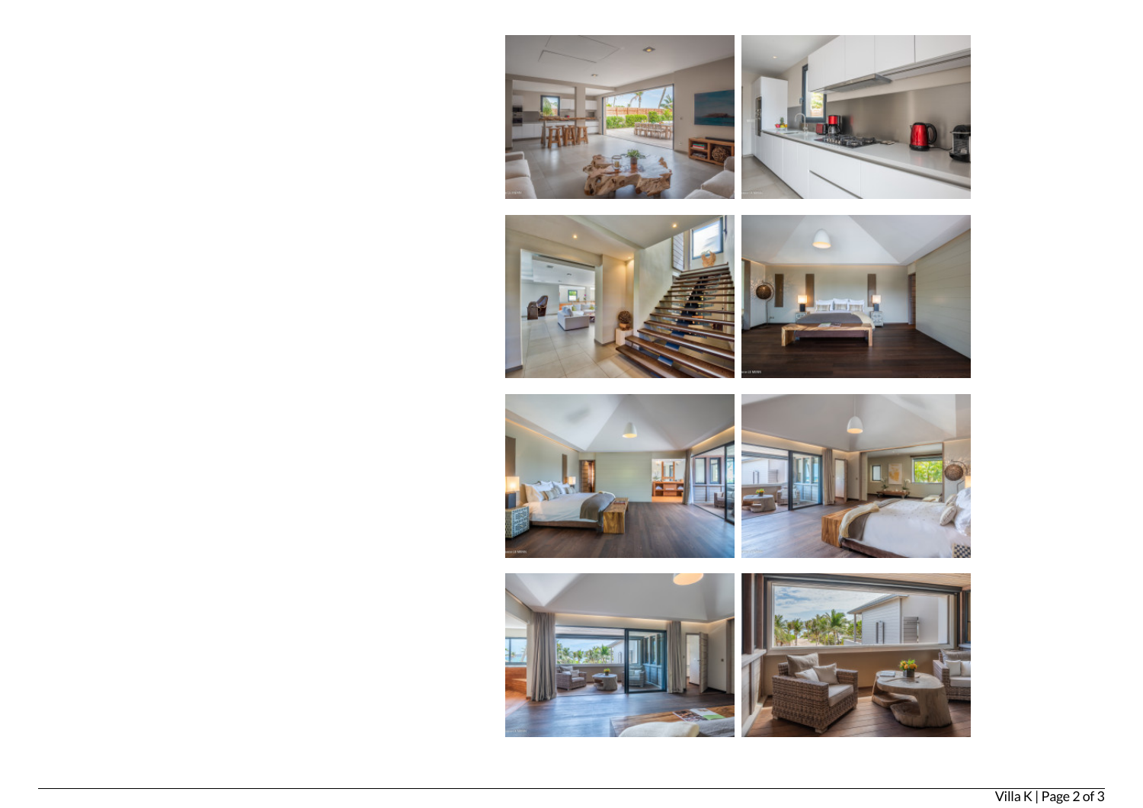